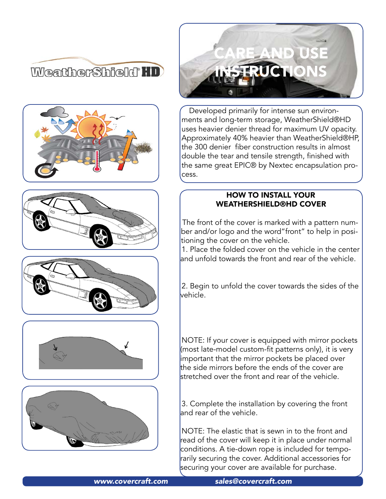













Developed primarily for intense sun environments and long-term storage, WeatherShield®HD uses heavier denier thread for maximum UV opacity. Approximately 40% heavier than WeatherShield®HP, the 300 denier fiber construction results in almost double the tear and tensile strength, finished with the same great EPIC® by Nextec encapsulation process.

### HOW TO INSTALL YOUR WEATHERSHIELD®HD COVER

The front of the cover is marked with a pattern number and/or logo and the word"front" to help in positioning the cover on the vehicle.

1. Place the folded cover on the vehicle in the center and unfold towards the front and rear of the vehicle.

2. Begin to unfold the cover towards the sides of the vehicle.

NOTE: If your cover is equipped with mirror pockets (most late-model custom-fit patterns only), it is very important that the mirror pockets be placed over the side mirrors before the ends of the cover are stretched over the front and rear of the vehicle.

3. Complete the installation by covering the front and rear of the vehicle.

NOTE: The elastic that is sewn in to the front and read of the cover will keep it in place under normal conditions. A tie-down rope is included for temporarily securing the cover. Additional accessories for securing your cover are available for purchase.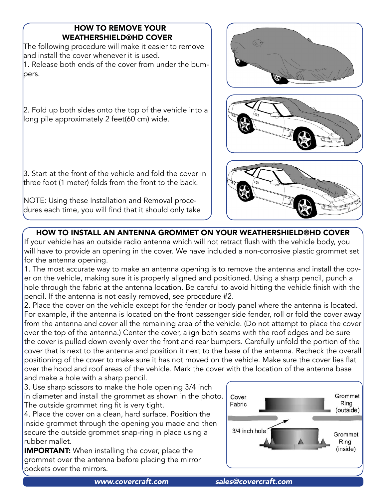# HOW TO REMOVE YOUR WEATHERSHIELD®HD COVER

The following procedure will make it easier to remove and install the cover whenever it is used. 1. Release both ends of the cover from under the bumpers.

2. Fold up both sides onto the top of the vehicle into a long pile approximately 2 feet(60 cm) wide.

3. Start at the front of the vehicle and fold the cover in three foot (1 meter) folds from the front to the back.

NOTE: Using these Installation and Removal procedures each time, you will find that it should only take







# HOW TO INSTALL AN ANTENNA GROMMET ON YOUR WEATHERSHIELD®HD COVER

If your vehicle has an outside radio antenna which will not retract flush with the vehicle body, you will have to provide an opening in the cover. We have included a non-corrosive plastic grommet set for the antenna opening.

1. The most accurate way to make an antenna opening is to remove the antenna and install the cover on the vehicle, making sure it is properly aligned and positioned. Using a sharp pencil, punch a hole through the fabric at the antenna location. Be careful to avoid hitting the vehicle finish with the pencil. If the antenna is not easily removed, see procedure #2.

2. Place the cover on the vehicle except for the fender or body panel where the antenna is located. For example, if the antenna is located on the front passenger side fender, roll or fold the cover away from the antenna and cover all the remaining area of the vehicle. (Do not attempt to place the cover over the top of the antenna.) Center the cover, align both seams with the roof edges and be sure the cover is pulled down evenly over the front and rear bumpers. Carefully unfold the portion of the cover that is next to the antenna and position it next to the base of the antenna. Recheck the overall positioning of the cover to make sure it has not moved on the vehicle. Make sure the cover lies flat over the hood and roof areas of the vehicle. Mark the cover with the location of the antenna base and make a hole with a sharp pencil.

3. Use sharp scissors to make the hole opening 3/4 inch in diameter and install the grommet as shown in the photo. The outside grommet ring fit is very tight.

4. Place the cover on a clean, hard surface. Position the inside grommet through the opening you made and then secure the outside grommet snap-ring in place using a rubber mallet.

**IMPORTANT:** When installing the cover, place the grommet over the antenna before placing the mirror pockets over the mirrors.

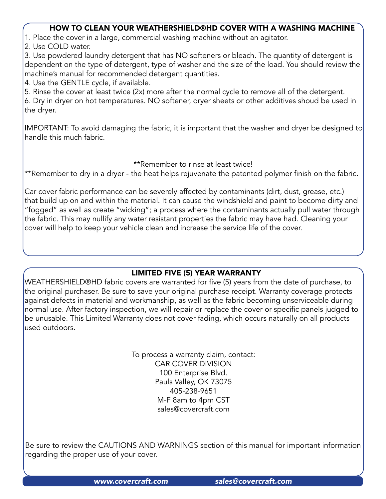### HOW TO CLEAN YOUR WEATHERSHIELD®HD COVER WITH A WASHING MACHINE

1. Place the cover in a large, commercial washing machine without an agitator.

2. Use COLD water.

3. Use powdered laundry detergent that has NO softeners or bleach. The quantity of detergent is dependent on the type of detergent, type of washer and the size of the load. You should review the machine's manual for recommended detergent quantities.

4. Use the GENTLE cycle, if available.

5. Rinse the cover at least twice (2x) more after the normal cycle to remove all of the detergent.

6. Dry in dryer on hot temperatures. NO softener, dryer sheets or other additives shoud be used in the dryer.

IMPORTANT: To avoid damaging the fabric, it is important that the washer and dryer be designed to handle this much fabric.

#### \*\*Remember to rinse at least twice!

\*\*Remember to dry in a dryer - the heat helps rejuvenate the patented polymer finish on the fabric.

Car cover fabric performance can be severely affected by contaminants (dirt, dust, grease, etc.) that build up on and within the material. It can cause the windshield and paint to become dirty and "fogged" as well as create "wicking"; a process where the contaminants actually pull water through the fabric. This may nullify any water resistant properties the fabric may have had. Cleaning your cover will help to keep your vehicle clean and increase the service life of the cover.

# LIMITED FIVE (5) YEAR WARRANTY

WEATHERSHIELD®HD fabric covers are warranted for five (5) years from the date of purchase, to the original purchaser. Be sure to save your original purchase receipt. Warranty coverage protects against defects in material and workmanship, as well as the fabric becoming unserviceable during normal use. After factory inspection, we will repair or replace the cover or specific panels judged to be unusable. This Limited Warranty does not cover fading, which occurs naturally on all products used outdoors.

> To process a warranty claim, contact: CAR COVER DIVISION 100 Enterprise Blvd. Pauls Valley, OK 73075 405-238-9651 M-F 8am to 4pm CST [sales@covercraft.com](mailto:sales@covercraft.com)

Be sure to review the CAUTIONS AND WARNINGS section of this manual for important information regarding the proper use of your cover.